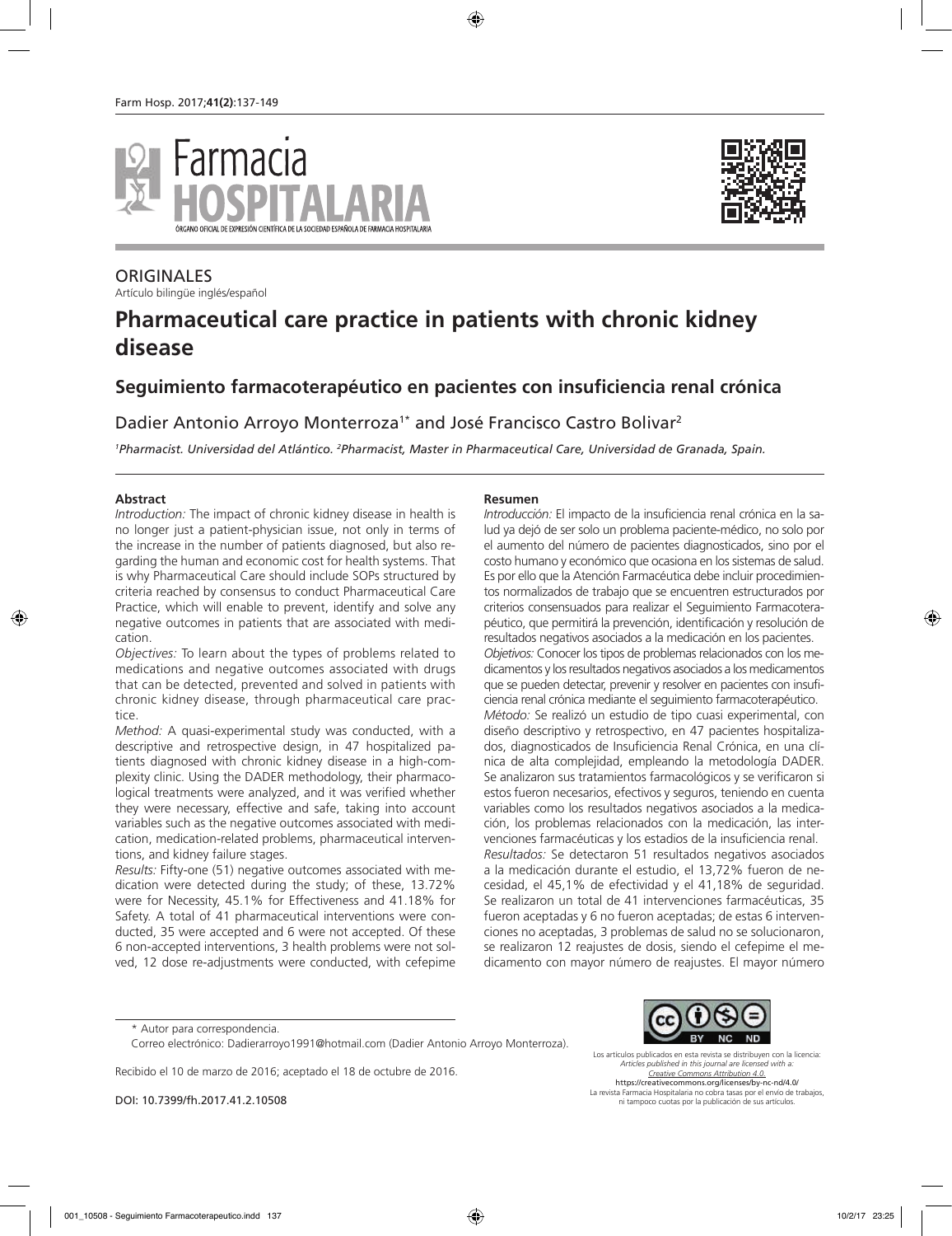



## **ORIGINALES**

Artículo bilingüe inglés/español

# **Pharmaceutical care practice in patients with chronic kidney disease**

# **Seguimiento farmacoterapéutico en pacientes con insuficiencia renal crónica**

### Dadier Antonio Arroyo Monterroza<sup>1\*</sup> and José Francisco Castro Bolivar<sup>2</sup>

*1 Pharmacist. Universidad del Atlántico. 2 Pharmacist, Master in Pharmaceutical Care, Universidad de Granada, Spain.*

#### **Abstract**

*Introduction:* The impact of chronic kidney disease in health is no longer just a patient-physician issue, not only in terms of the increase in the number of patients diagnosed, but also regarding the human and economic cost for health systems. That is why Pharmaceutical Care should include SOPs structured by criteria reached by consensus to conduct Pharmaceutical Care Practice, which will enable to prevent, identify and solve any negative outcomes in patients that are associated with medication.

*Objectives:* To learn about the types of problems related to medications and negative outcomes associated with drugs that can be detected, prevented and solved in patients with chronic kidney disease, through pharmaceutical care practice.

*Method:* A quasi-experimental study was conducted, with a descriptive and retrospective design, in 47 hospitalized patients diagnosed with chronic kidney disease in a high-complexity clinic. Using the DADER methodology, their pharmacological treatments were analyzed, and it was verified whether they were necessary, effective and safe, taking into account variables such as the negative outcomes associated with medication, medication-related problems, pharmaceutical interventions, and kidney failure stages.

*Results:* Fifty-one (51) negative outcomes associated with medication were detected during the study; of these, 13.72% were for Necessity, 45.1% for Effectiveness and 41.18% for Safety. A total of 41 pharmaceutical interventions were conducted, 35 were accepted and 6 were not accepted. Of these 6 non-accepted interventions, 3 health problems were not solved, 12 dose re-adjustments were conducted, with cefepime

#### **Resumen**

*Introducción:* El impacto de la insuficiencia renal crónica en la salud ya dejó de ser solo un problema paciente-médico, no solo por el aumento del número de pacientes diagnosticados, sino por el costo humano y económico que ocasiona en los sistemas de salud. Es por ello que la Atención Farmacéutica debe incluir procedimientos normalizados de trabajo que se encuentren estructurados por criterios consensuados para realizar el Seguimiento Farmacoterapéutico, que permitirá la prevención, identificación y resolución de resultados negativos asociados a la medicación en los pacientes. *Objetivos:* Conocer los tipos de problemas relacionados con los medicamentos y los resultados negativos asociados a los medicamentos que se pueden detectar, prevenir y resolver en pacientes con insuficiencia renal crónica mediante el seguimiento farmacoterapéutico. *Método:* Se realizó un estudio de tipo cuasi experimental, con diseño descriptivo y retrospectivo, en 47 pacientes hospitalizados, diagnosticados de Insuficiencia Renal Crónica, en una clínica de alta complejidad, empleando la metodología DADER. Se analizaron sus tratamientos farmacológicos y se verificaron si estos fueron necesarios, efectivos y seguros, teniendo en cuenta variables como los resultados negativos asociados a la medicación, los problemas relacionados con la medicación, las intervenciones farmacéuticas y los estadios de la insuficiencia renal. *Resultados:* Se detectaron 51 resultados negativos asociados a la medicación durante el estudio, el 13,72% fueron de necesidad, el 45,1% de efectividad y el 41,18% de seguridad. Se realizaron un total de 41 intervenciones farmacéuticas, 35 fueron aceptadas y 6 no fueron aceptadas; de estas 6 intervenciones no aceptadas, 3 problemas de salud no se solucionaron, se realizaron 12 reajustes de dosis, siendo el cefepime el medicamento con mayor número de reajustes. El mayor número

Recibido el 10 de marzo de 2016; aceptado el 18 de octubre de 2016.

DOI: 10.7399/fh.2017.41.2.10508



Los artículos publicados en esta revista se distribuyen con la licencia: *Articles published in this journal are licensed with a: Creative Commons Attribution 4.0.* https://creativecommons.org/licenses/by-nc-nd/4.0/ La revista Farmacia Hospitalaria no cobra tasas por el envío de trabajos, ni tampoco cuotas por la publicación de sus artículos.

<sup>\*</sup> Autor para correspondencia.

Correo electrónico: Dadierarroyo1991@hotmail.com (Dadier Antonio Arroyo Monterroza).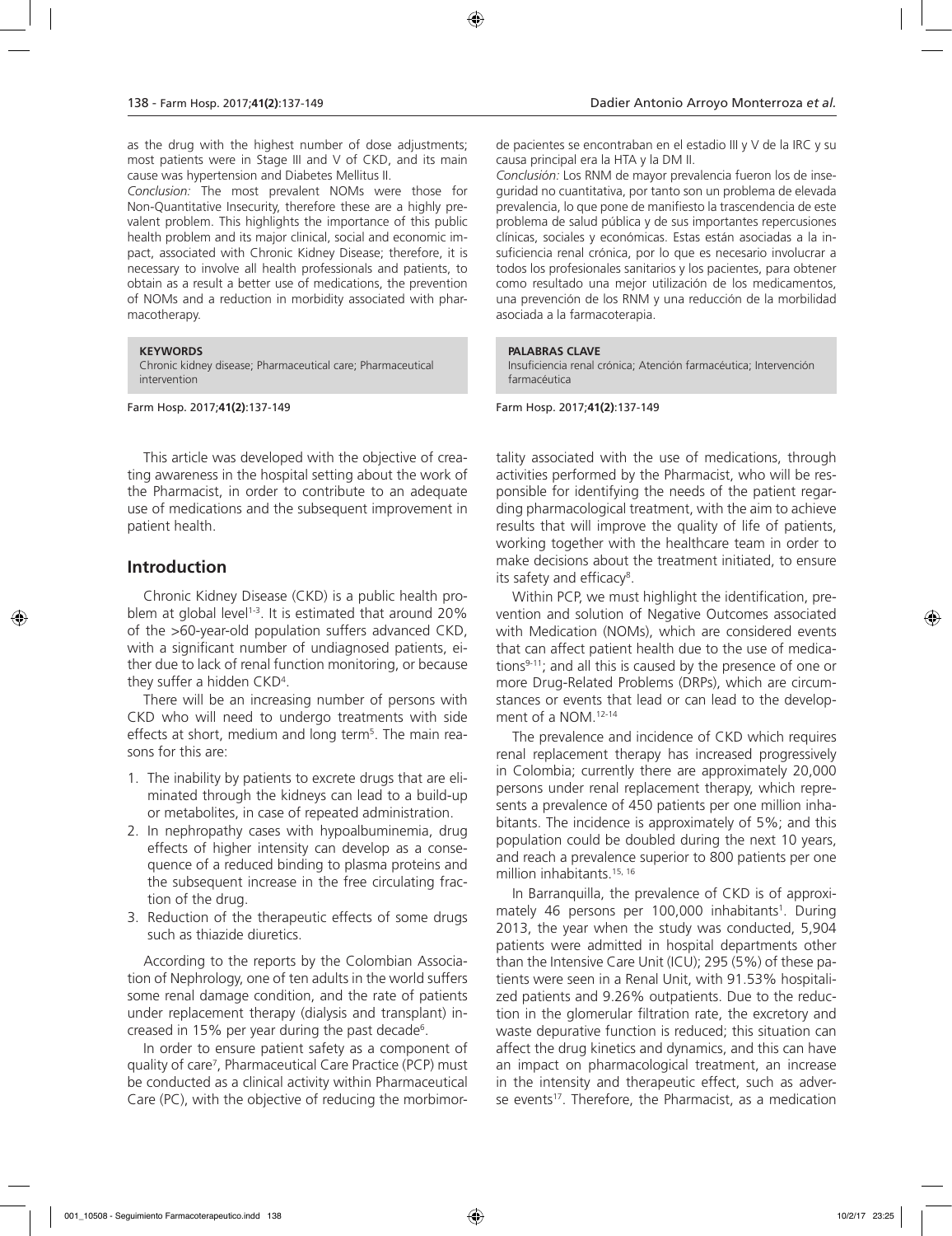as the drug with the highest number of dose adjustments; most patients were in Stage III and V of CKD, and its main cause was hypertension and Diabetes Mellitus II.

*Conclusion:* The most prevalent NOMs were those for Non-Quantitative Insecurity, therefore these are a highly prevalent problem. This highlights the importance of this public health problem and its major clinical, social and economic impact, associated with Chronic Kidney Disease; therefore, it is necessary to involve all health professionals and patients, to obtain as a result a better use of medications, the prevention of NOMs and a reduction in morbidity associated with pharmacotherapy.

#### **KEYWORDS**

Chronic kidney disease; Pharmaceutical care; Pharmaceutical intervention

Farm Hosp. 2017;**41(2)**:137-149

This article was developed with the objective of creating awareness in the hospital setting about the work of the Pharmacist, in order to contribute to an adequate use of medications and the subsequent improvement in patient health.

### **Introduction**

Chronic Kidney Disease (CKD) is a public health problem at global level<sup>1-3</sup>. It is estimated that around  $20\%$ of the >60-year-old population suffers advanced CKD, with a significant number of undiagnosed patients, either due to lack of renal function monitoring, or because they suffer a hidden CKD4 .

There will be an increasing number of persons with CKD who will need to undergo treatments with side effects at short, medium and long term<sup>5</sup>. The main reasons for this are:

- 1. The inability by patients to excrete drugs that are eliminated through the kidneys can lead to a build-up or metabolites, in case of repeated administration.
- 2. In nephropathy cases with hypoalbuminemia, drug effects of higher intensity can develop as a consequence of a reduced binding to plasma proteins and the subsequent increase in the free circulating fraction of the drug.
- 3. Reduction of the therapeutic effects of some drugs such as thiazide diuretics.

According to the reports by the Colombian Association of Nephrology, one of ten adults in the world suffers some renal damage condition, and the rate of patients under replacement therapy (dialysis and transplant) increased in 15% per year during the past decade<sup>6</sup>.

In order to ensure patient safety as a component of quality of care<sup>7</sup>, Pharmaceutical Care Practice (PCP) must be conducted as a clinical activity within Pharmaceutical Care (PC), with the objective of reducing the morbimorde pacientes se encontraban en el estadio III y V de la IRC y su causa principal era la HTA y la DM II.

*Conclusión:* Los RNM de mayor prevalencia fueron los de inseguridad no cuantitativa, por tanto son un problema de elevada prevalencia, lo que pone de manifiesto la trascendencia de este problema de salud pública y de sus importantes repercusiones clínicas, sociales y económicas. Estas están asociadas a la insuficiencia renal crónica, por lo que es necesario involucrar a todos los profesionales sanitarios y los pacientes, para obtener como resultado una mejor utilización de los medicamentos, una prevención de los RNM y una reducción de la morbilidad asociada a la farmacoterapia.

#### **PALABRAS CLAVE**

Insuficiencia renal crónica; Atención farmacéutica; Intervención farmacéutica

Farm Hosp. 2017;**41(2)**:137-149

tality associated with the use of medications, through activities performed by the Pharmacist, who will be responsible for identifying the needs of the patient regarding pharmacological treatment, with the aim to achieve results that will improve the quality of life of patients, working together with the healthcare team in order to make decisions about the treatment initiated, to ensure its safety and efficacy<sup>8</sup>.

Within PCP, we must highlight the identification, prevention and solution of Negative Outcomes associated with Medication (NOMs), which are considered events that can affect patient health due to the use of medications<sup>9-11</sup>; and all this is caused by the presence of one or more Drug-Related Problems (DRPs), which are circumstances or events that lead or can lead to the development of a NOM.12-14

The prevalence and incidence of CKD which requires renal replacement therapy has increased progressively in Colombia; currently there are approximately 20,000 persons under renal replacement therapy, which represents a prevalence of 450 patients per one million inhabitants. The incidence is approximately of 5%; and this population could be doubled during the next 10 years, and reach a prevalence superior to 800 patients per one million inhabitants.<sup>15, 16</sup>

In Barranquilla, the prevalence of CKD is of approximately 46 persons per 100,000 inhabitants<sup>1</sup>. During 2013, the year when the study was conducted, 5,904 patients were admitted in hospital departments other than the Intensive Care Unit (ICU); 295 (5%) of these patients were seen in a Renal Unit, with 91.53% hospitalized patients and 9.26% outpatients. Due to the reduction in the glomerular filtration rate, the excretory and waste depurative function is reduced; this situation can affect the drug kinetics and dynamics, and this can have an impact on pharmacological treatment, an increase in the intensity and therapeutic effect, such as adverse events<sup>17</sup>. Therefore, the Pharmacist, as a medication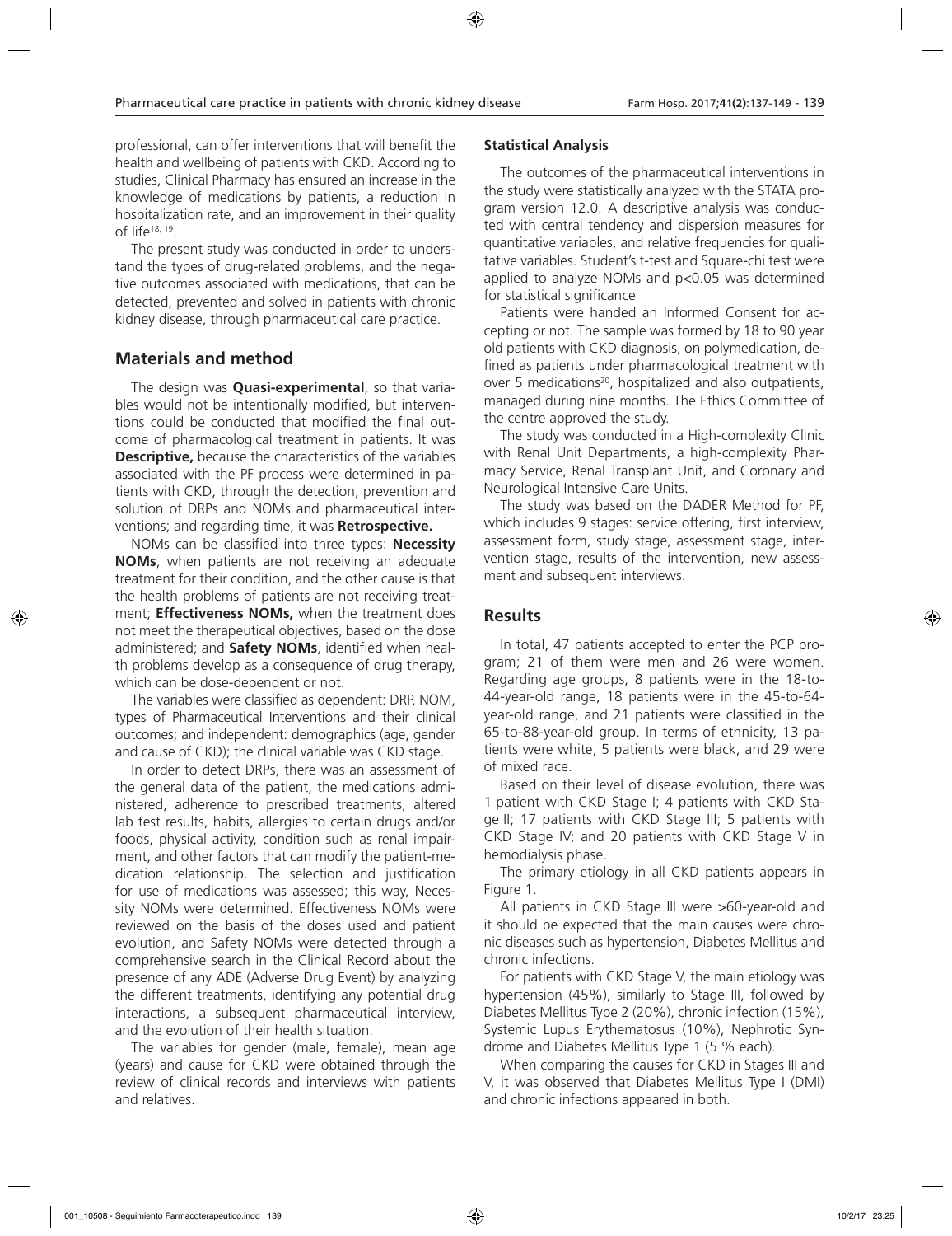professional, can offer interventions that will benefit the health and wellbeing of patients with CKD. According to studies, Clinical Pharmacy has ensured an increase in the knowledge of medications by patients, a reduction in hospitalization rate, and an improvement in their quality of life18, 19.

The present study was conducted in order to understand the types of drug-related problems, and the negative outcomes associated with medications, that can be detected, prevented and solved in patients with chronic kidney disease, through pharmaceutical care practice.

### **Materials and method**

The design was **Quasi-experimental**, so that variables would not be intentionally modified, but interventions could be conducted that modified the final outcome of pharmacological treatment in patients. It was **Descriptive,** because the characteristics of the variables associated with the PF process were determined in patients with CKD, through the detection, prevention and solution of DRPs and NOMs and pharmaceutical interventions; and regarding time, it was **Retrospective.**

NOMs can be classified into three types: **Necessity NOMs**, when patients are not receiving an adequate treatment for their condition, and the other cause is that the health problems of patients are not receiving treatment; **Effectiveness NOMs,** when the treatment does not meet the therapeutical objectives, based on the dose administered; and **Safety NOMs**, identified when health problems develop as a consequence of drug therapy, which can be dose-dependent or not.

The variables were classified as dependent: DRP, NOM, types of Pharmaceutical Interventions and their clinical outcomes; and independent: demographics (age, gender and cause of CKD); the clinical variable was CKD stage.

In order to detect DRPs, there was an assessment of the general data of the patient, the medications administered, adherence to prescribed treatments, altered lab test results, habits, allergies to certain drugs and/or foods, physical activity, condition such as renal impairment, and other factors that can modify the patient-medication relationship. The selection and justification for use of medications was assessed; this way, Necessity NOMs were determined. Effectiveness NOMs were reviewed on the basis of the doses used and patient evolution, and Safety NOMs were detected through a comprehensive search in the Clinical Record about the presence of any ADE (Adverse Drug Event) by analyzing the different treatments, identifying any potential drug interactions, a subsequent pharmaceutical interview, and the evolution of their health situation.

The variables for gender (male, female), mean age (years) and cause for CKD were obtained through the review of clinical records and interviews with patients and relatives.

#### **Statistical Analysis**

The outcomes of the pharmaceutical interventions in the study were statistically analyzed with the STATA program version 12.0. A descriptive analysis was conducted with central tendency and dispersion measures for quantitative variables, and relative frequencies for qualitative variables. Student's t-test and Square-chi test were applied to analyze NOMs and p<0.05 was determined for statistical significance

Patients were handed an Informed Consent for accepting or not. The sample was formed by 18 to 90 year old patients with CKD diagnosis, on polymedication, defined as patients under pharmacological treatment with over 5 medications<sup>20</sup>, hospitalized and also outpatients, managed during nine months. The Ethics Committee of the centre approved the study.

The study was conducted in a High-complexity Clinic with Renal Unit Departments, a high-complexity Pharmacy Service, Renal Transplant Unit, and Coronary and Neurological Intensive Care Units.

The study was based on the DADER Method for PF, which includes 9 stages: service offering, first interview, assessment form, study stage, assessment stage, intervention stage, results of the intervention, new assessment and subsequent interviews.

#### **Results**

In total, 47 patients accepted to enter the PCP program; 21 of them were men and 26 were women. Regarding age groups, 8 patients were in the 18-to-44-year-old range, 18 patients were in the 45-to-64 year-old range, and 21 patients were classified in the 65-to-88-year-old group. In terms of ethnicity, 13 patients were white, 5 patients were black, and 29 were of mixed race.

Based on their level of disease evolution, there was 1 patient with CKD Stage I; 4 patients with CKD Stage II; 17 patients with CKD Stage III; 5 patients with CKD Stage IV; and 20 patients with CKD Stage V in hemodialysis phase.

The primary etiology in all CKD patients appears in Figure 1.

All patients in CKD Stage III were >60-year-old and it should be expected that the main causes were chronic diseases such as hypertension, Diabetes Mellitus and chronic infections.

For patients with CKD Stage V, the main etiology was hypertension (45%), similarly to Stage III, followed by Diabetes Mellitus Type 2 (20%), chronic infection (15%), Systemic Lupus Erythematosus (10%), Nephrotic Syndrome and Diabetes Mellitus Type 1 (5 % each).

When comparing the causes for CKD in Stages III and V, it was observed that Diabetes Mellitus Type I (DMI) and chronic infections appeared in both.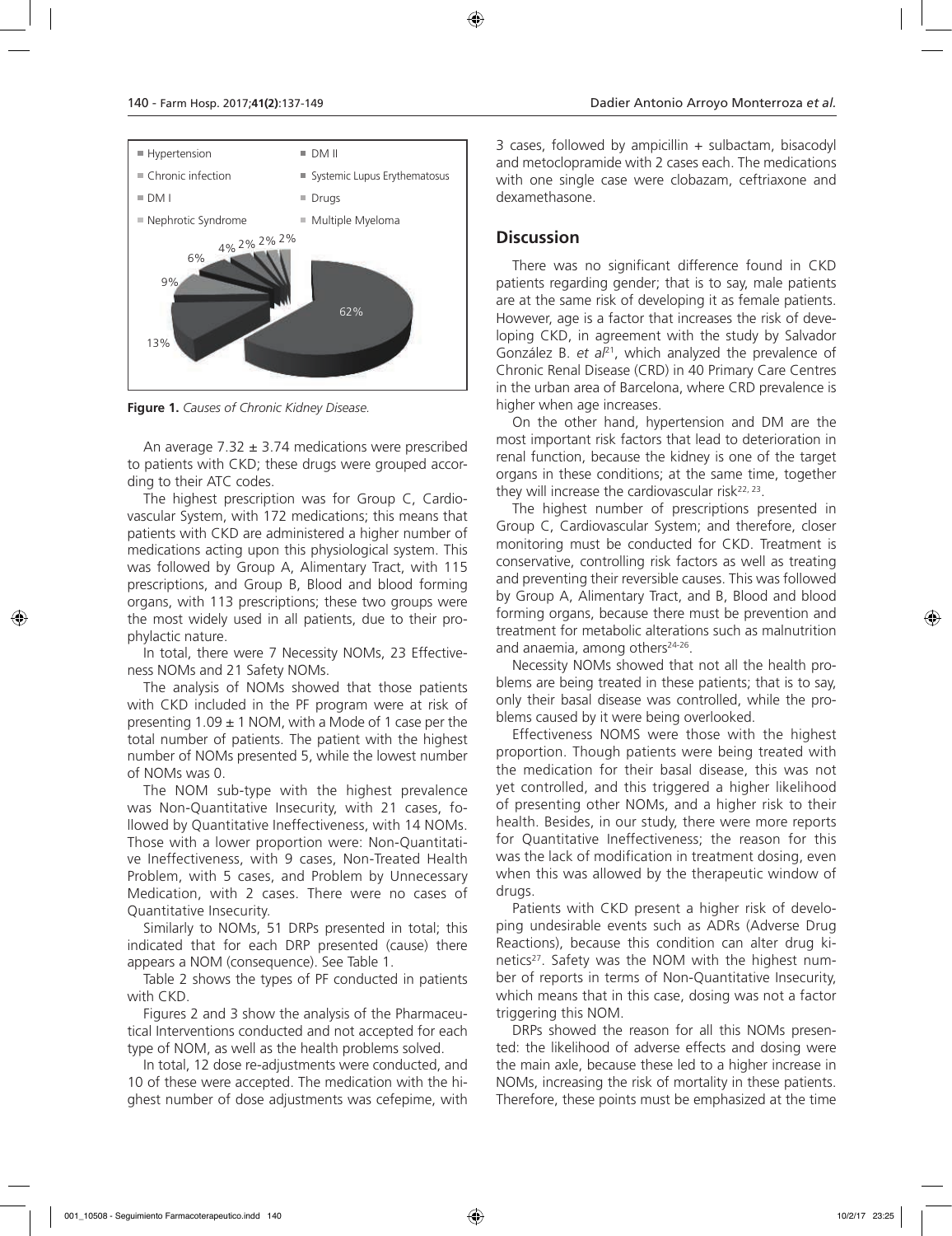

**Figure 1.** *Causes of Chronic Kidney Disease.*

An average  $7.32 \pm 3.74$  medications were prescribed to patients with CKD; these drugs were grouped according to their ATC codes.

The highest prescription was for Group C, Cardiovascular System, with 172 medications; this means that patients with CKD are administered a higher number of medications acting upon this physiological system. This was followed by Group A, Alimentary Tract, with 115 prescriptions, and Group B, Blood and blood forming organs, with 113 prescriptions; these two groups were the most widely used in all patients, due to their prophylactic nature.

In total, there were 7 Necessity NOMs, 23 Effectiveness NOMs and 21 Safety NOMs.

The analysis of NOMs showed that those patients with CKD included in the PF program were at risk of presenting  $1.09 \pm 1$  NOM, with a Mode of 1 case per the total number of patients. The patient with the highest number of NOMs presented 5, while the lowest number of NOMs was 0.

The NOM sub-type with the highest prevalence was Non-Quantitative Insecurity, with 21 cases, followed by Quantitative Ineffectiveness, with 14 NOMs. Those with a lower proportion were: Non-Quantitative Ineffectiveness, with 9 cases, Non-Treated Health Problem, with 5 cases, and Problem by Unnecessary Medication, with 2 cases. There were no cases of Quantitative Insecurity.

Similarly to NOMs, 51 DRPs presented in total; this indicated that for each DRP presented (cause) there appears a NOM (consequence). See Table 1.

Table 2 shows the types of PF conducted in patients with CKD.

Figures 2 and 3 show the analysis of the Pharmaceutical Interventions conducted and not accepted for each type of NOM, as well as the health problems solved.

In total, 12 dose re-adjustments were conducted, and 10 of these were accepted. The medication with the highest number of dose adjustments was cefepime, with

3 cases, followed by ampicillin + sulbactam, bisacodyl and metoclopramide with 2 cases each. The medications with one single case were clobazam, ceftriaxone and dexamethasone.

#### **Discussion**

There was no significant difference found in CKD patients regarding gender; that is to say, male patients are at the same risk of developing it as female patients. However, age is a factor that increases the risk of developing CKD, in agreement with the study by Salvador González B. *et al*21, which analyzed the prevalence of Chronic Renal Disease (CRD) in 40 Primary Care Centres in the urban area of Barcelona, where CRD prevalence is higher when age increases.

On the other hand, hypertension and DM are the most important risk factors that lead to deterioration in renal function, because the kidney is one of the target organs in these conditions; at the same time, together they will increase the cardiovascular risk $22, 23$ .

The highest number of prescriptions presented in Group C, Cardiovascular System; and therefore, closer monitoring must be conducted for CKD. Treatment is conservative, controlling risk factors as well as treating and preventing their reversible causes. This was followed by Group A, Alimentary Tract, and B, Blood and blood forming organs, because there must be prevention and treatment for metabolic alterations such as malnutrition and anaemia, among others<sup>24-26</sup>.

Necessity NOMs showed that not all the health problems are being treated in these patients; that is to say, only their basal disease was controlled, while the problems caused by it were being overlooked.

Effectiveness NOMS were those with the highest proportion. Though patients were being treated with the medication for their basal disease, this was not yet controlled, and this triggered a higher likelihood of presenting other NOMs, and a higher risk to their health. Besides, in our study, there were more reports for Quantitative Ineffectiveness; the reason for this was the lack of modification in treatment dosing, even when this was allowed by the therapeutic window of drugs.

Patients with CKD present a higher risk of developing undesirable events such as ADRs (Adverse Drug Reactions), because this condition can alter drug kinetics<sup>27</sup>. Safety was the NOM with the highest number of reports in terms of Non-Quantitative Insecurity, which means that in this case, dosing was not a factor triggering this NOM.

DRPs showed the reason for all this NOMs presented: the likelihood of adverse effects and dosing were the main axle, because these led to a higher increase in NOMs, increasing the risk of mortality in these patients. Therefore, these points must be emphasized at the time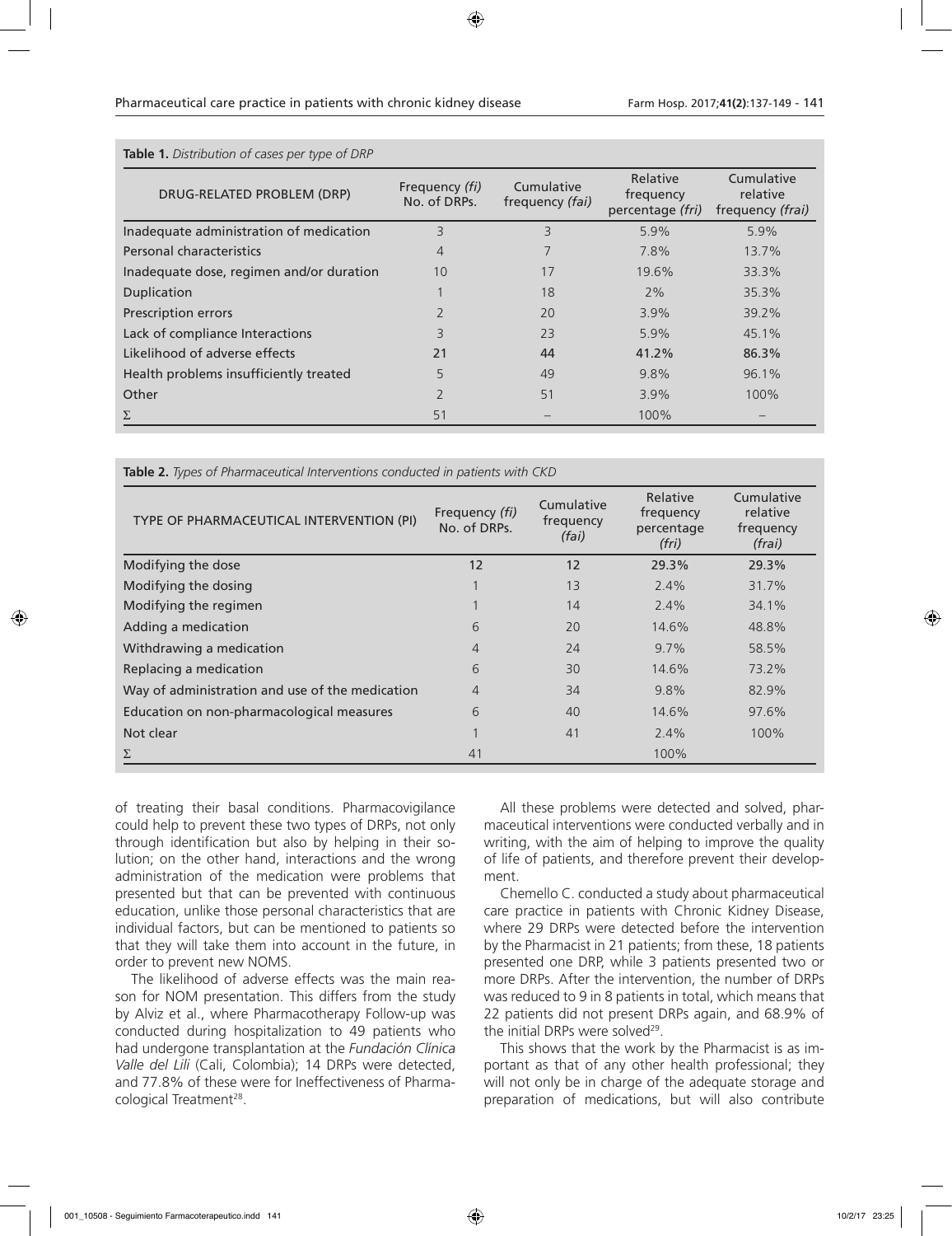| <b>Table 1.</b> Distribution of cases per type of DRP |                                |                               |                                           |                                            |  |
|-------------------------------------------------------|--------------------------------|-------------------------------|-------------------------------------------|--------------------------------------------|--|
| DRUG-RELATED PROBLEM (DRP)                            | Frequency (fi)<br>No. of DRPs. | Cumulative<br>frequency (fai) | Relative<br>frequency<br>percentage (fri) | Cumulative<br>relative<br>frequency (frai) |  |
| Inadequate administration of medication               | 3                              | 3                             | 5.9%                                      | 5.9%                                       |  |
| Personal characteristics                              | $\overline{4}$                 |                               | 7.8%                                      | $13.7\%$                                   |  |
| Inadequate dose, regimen and/or duration              | 10                             | 17                            | 19.6%                                     | 33.3%                                      |  |
| Duplication                                           |                                | 18                            | 2%                                        | 35.3%                                      |  |
| Prescription errors                                   | $\overline{2}$                 | 20                            | $3.9\%$                                   | 39.2%                                      |  |
| Lack of compliance Interactions                       | 3                              | 23                            | 5.9%                                      | 45.1%                                      |  |
| Likelihood of adverse effects                         | 21                             | 44                            | 41.2%                                     | 86.3%                                      |  |
| Health problems insufficiently treated                | 5                              | 49                            | 9.8%                                      | 96.1%                                      |  |
| Other                                                 | $\overline{2}$                 | 51                            | $3.9\%$                                   | $100\%$                                    |  |
| Σ                                                     | 51                             |                               | 100%                                      |                                            |  |

**Table 2.** *Types of Pharmaceutical Interventions conducted in patients with CKD*

| TYPE OF PHARMACEUTICAL INTERVENTION (PI)        | Frequency (fi)<br>No. of DRPs. | Cumulative<br>frequency<br>(fai) | Relative<br>frequency<br>percentage<br>(fri) | Cumulative<br>relative<br>frequency<br>(frai) |
|-------------------------------------------------|--------------------------------|----------------------------------|----------------------------------------------|-----------------------------------------------|
| Modifying the dose                              | 12                             | 12                               | 29.3%                                        | 29.3%                                         |
| Modifying the dosing                            |                                | 13                               | $2.4\%$                                      | 31.7%                                         |
| Modifying the regimen                           |                                | 14                               | $2.4\%$                                      | 34.1%                                         |
| Adding a medication                             | 6                              | 20                               | 14.6%                                        | 48.8%                                         |
| Withdrawing a medication                        | 4                              | 24                               | $9.7\%$                                      | 58.5%                                         |
| Replacing a medication                          | 6                              | 30                               | 14.6%                                        | 73.2%                                         |
| Way of administration and use of the medication | $\overline{4}$                 | 34                               | 9.8%                                         | 82.9%                                         |
| Education on non-pharmacological measures       | 6                              | 40                               | 14.6%                                        | 97.6%                                         |
| Not clear                                       |                                | 41                               | $2.4\%$                                      | $100\%$                                       |
| Σ                                               | 41                             |                                  | 100%                                         |                                               |

of treating their basal conditions. Pharmacovigilance could help to prevent these two types of DRPs, not only through identification but also by helping in their solution; on the other hand, interactions and the wrong administration of the medication were problems that presented but that can be prevented with continuous education, unlike those personal characteristics that are individual factors, but can be mentioned to patients so that they will take them into account in the future, in order to prevent new NOMS.

The likelihood of adverse effects was the main reason for NOM presentation. This differs from the study by Alviz et al., where Pharmacotherapy Follow-up was conducted during hospitalization to 49 patients who had undergone transplantation at the *Fundación Clínica Valle del Lili* (Cali, Colombia); 14 DRPs were detected, and 77.8% of these were for Ineffectiveness of Pharmacological Treatment<sup>28</sup>.

All these problems were detected and solved, pharmaceutical interventions were conducted verbally and in writing, with the aim of helping to improve the quality of life of patients, and therefore prevent their development.

Chemello C. conducted a study about pharmaceutical care practice in patients with Chronic Kidney Disease, where 29 DRPs were detected before the intervention by the Pharmacist in 21 patients; from these, 18 patients presented one DRP, while 3 patients presented two or more DRPs. After the intervention, the number of DRPs was reduced to 9 in 8 patients in total, which means that 22 patients did not present DRPs again, and 68.9% of the initial DRPs were solved<sup>29</sup>.

This shows that the work by the Pharmacist is as important as that of any other health professional; they will not only be in charge of the adequate storage and preparation of medications, but will also contribute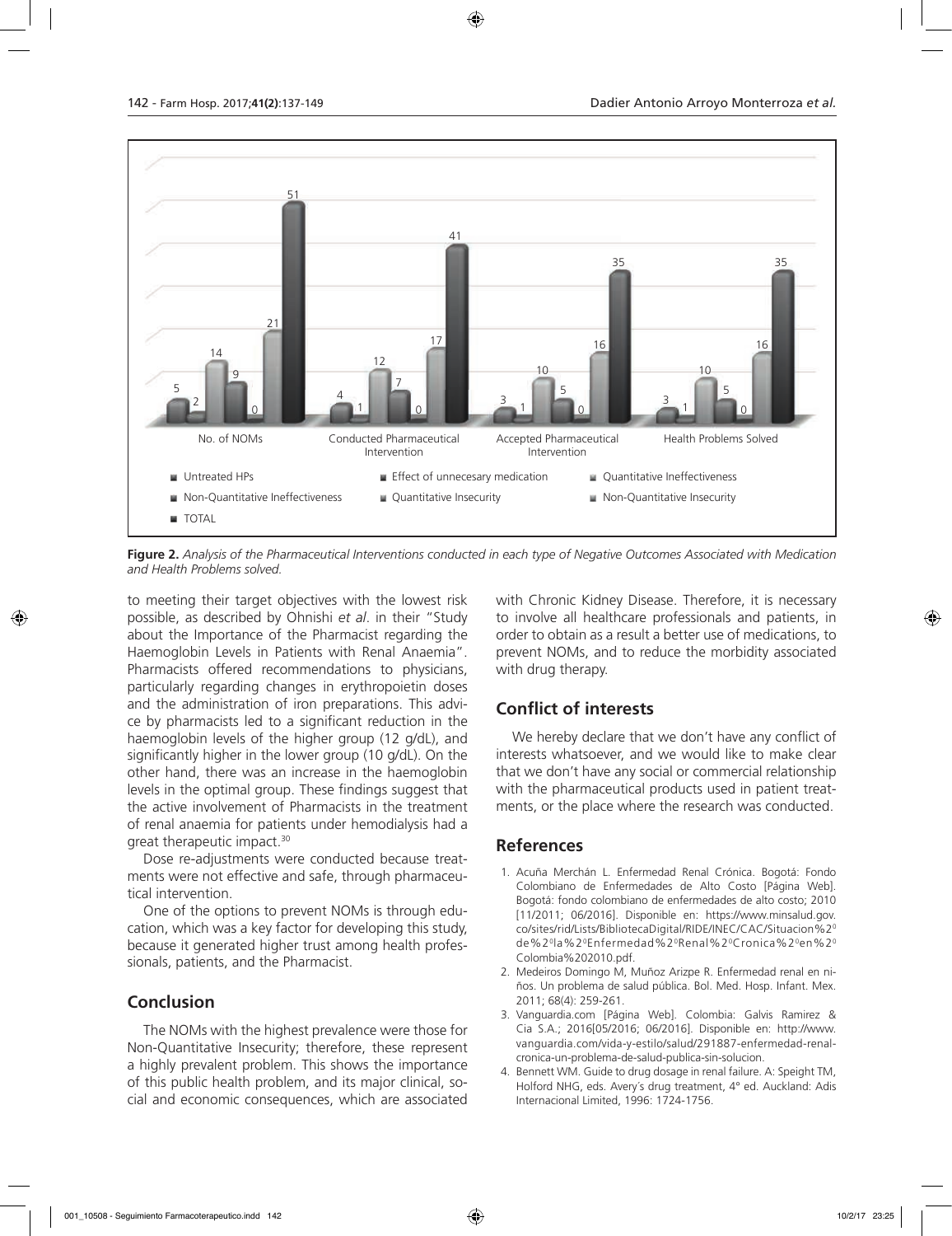

**Figure 2.** *Analysis of the Pharmaceutical Interventions conducted in each type of Negative Outcomes Associated with Medication and Health Problems solved.*

to meeting their target objectives with the lowest risk possible, as described by Ohnishi *et al*. in their "Study about the Importance of the Pharmacist regarding the Haemoglobin Levels in Patients with Renal Anaemia". Pharmacists offered recommendations to physicians, particularly regarding changes in erythropoietin doses and the administration of iron preparations. This advice by pharmacists led to a significant reduction in the haemoglobin levels of the higher group (12 g/dL), and significantly higher in the lower group (10 g/dL). On the other hand, there was an increase in the haemoglobin levels in the optimal group. These findings suggest that the active involvement of Pharmacists in the treatment of renal anaemia for patients under hemodialysis had a great therapeutic impact.30

Dose re-adjustments were conducted because treatments were not effective and safe, through pharmaceutical intervention.

One of the options to prevent NOMs is through education, which was a key factor for developing this study, because it generated higher trust among health professionals, patients, and the Pharmacist.

### **Conclusion**

The NOMs with the highest prevalence were those for Non-Quantitative Insecurity; therefore, these represent a highly prevalent problem. This shows the importance of this public health problem, and its major clinical, social and economic consequences, which are associated

with Chronic Kidney Disease. Therefore, it is necessary to involve all healthcare professionals and patients, in order to obtain as a result a better use of medications, to prevent NOMs, and to reduce the morbidity associated with drug therapy.

### **Conflict of interests**

We hereby declare that we don't have any conflict of interests whatsoever, and we would like to make clear that we don't have any social or commercial relationship with the pharmaceutical products used in patient treatments, or the place where the research was conducted.

### **References**

- 1. Acuña Merchán L. Enfermedad Renal Crónica. Bogotá: Fondo Colombiano de Enfermedades de Alto Costo [Página Web]. Bogotá: fondo colombiano de enfermedades de alto costo; 2010 [11/2011: 06/2016]. Disponible en: https://www.minsalud.gov. co/sites/rid/Lists/BibliotecaDigital/RIDE/INEC/CAC/Situacion%20 de%20la%20Enfermedad%20Renal%20Cronica%20en%20 Colombia%202010.pdf.
- 2. Medeiros Domingo M, Muñoz Arizpe R. Enfermedad renal en niños. Un problema de salud pública. Bol. Med. Hosp. Infant. Mex. 2011; 68(4): 259-261.
- 3. Vanguardia.com [Página Web]. Colombia: Galvis Ramirez & Cia S.A.; 2016[05/2016; 06/2016]. Disponible en: http://www. vanguardia.com/vida-y-estilo/salud/291887-enfermedad-renalcronica-un-problema-de-salud-publica-sin-solucion.
- 4. Bennett WM. Guide to drug dosage in renal failure. A: Speight TM, Holford NHG, eds. Avery´s drug treatment, 4° ed. Auckland: Adis Internacional Limited, 1996: 1724-1756.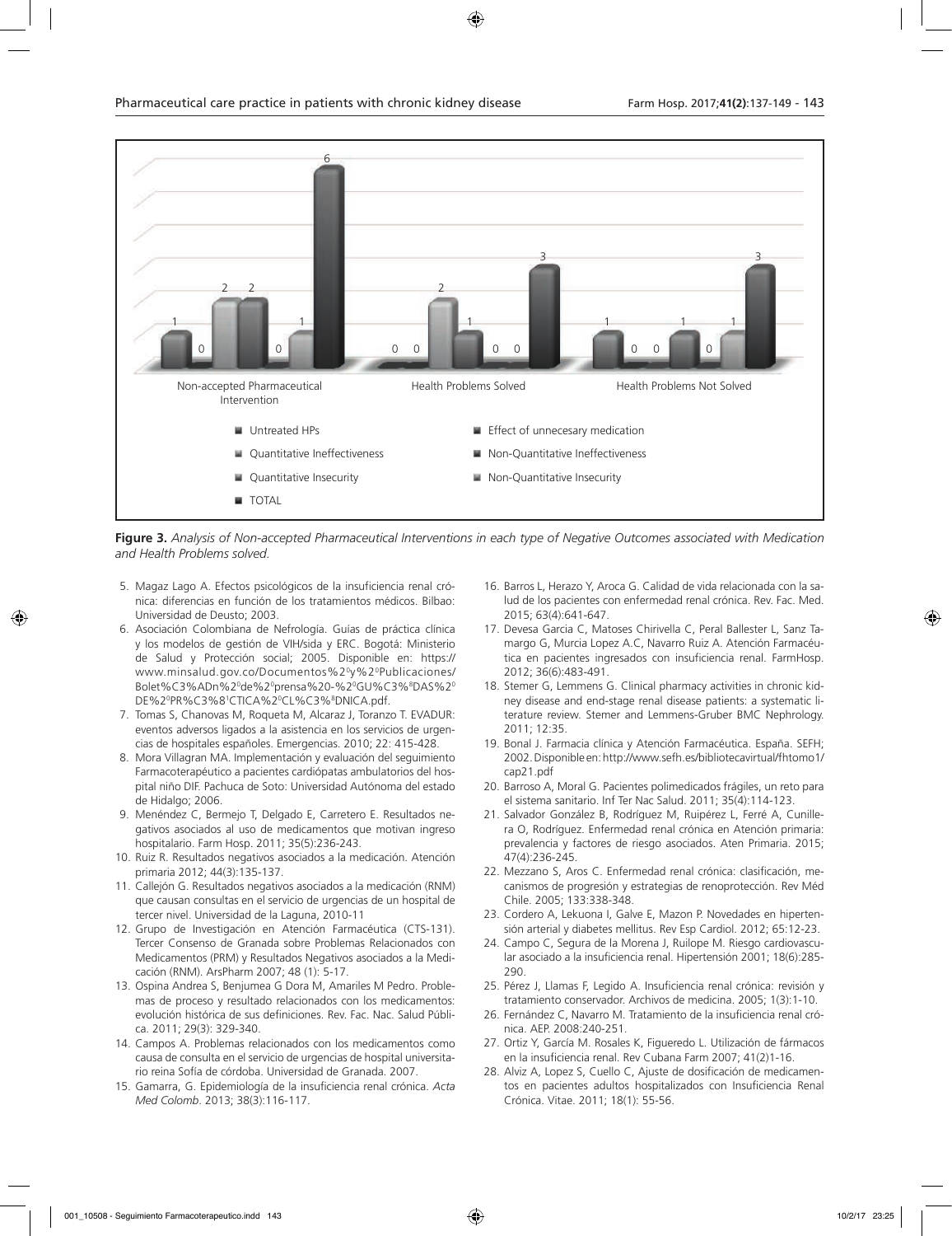

**Figure 3.** *Analysis of Non-accepted Pharmaceutical Interventions in each type of Negative Outcomes associated with Medication and Health Problems solved.*

- 5. Magaz Lago A. Efectos psicológicos de la insuficiencia renal crónica: diferencias en función de los tratamientos médicos. Bilbao: Universidad de Deusto; 2003.
- 6. Asociación Colombiana de Nefrología. Guías de práctica clínica y los modelos de gestión de VIH/sida y ERC. Bogotá: Ministerio de Salud y Protección social; 2005. Disponible en: https:// www.minsalud.gov.co/Documentos%20y%20Publicaciones/ Bolet%C3%ADn%20 de%20 prensa%20-%20 GU%C3%8 DAS%20 DE%2ºPR%C3%8'CTICA%2ºCL%C3%®DNICA.pdf.
- 7. Tomas S, Chanovas M, Roqueta M, Alcaraz J, Toranzo T. EVADUR: eventos adversos ligados a la asistencia en los servicios de urgencias de hospitales españoles. Emergencias. 2010; 22: 415-428.
- 8. Mora Villagran MA. Implementación y evaluación del seguimiento Farmacoterapéutico a pacientes cardiópatas ambulatorios del hospital niño DIF. Pachuca de Soto: Universidad Autónoma del estado de Hidalgo; 2006.
- 9. Menéndez C, Bermejo T, Delgado E, Carretero E. Resultados negativos asociados al uso de medicamentos que motivan ingreso hospitalario. Farm Hosp. 2011; 35(5):236-243.
- 10. Ruiz R. Resultados negativos asociados a la medicación. Atención primaria 2012; 44(3):135-137.
- 11. Callejón G. Resultados negativos asociados a la medicación (RNM) que causan consultas en el servicio de urgencias de un hospital de tercer nivel. Universidad de la Laguna, 2010-11
- 12. Grupo de Investigación en Atención Farmacéutica (CTS-131). Tercer Consenso de Granada sobre Problemas Relacionados con Medicamentos (PRM) y Resultados Negativos asociados a la Medicación (RNM). ArsPharm 2007; 48 (1): 5-17.
- 13. Ospina Andrea S, Benjumea G Dora M, Amariles M Pedro. Problemas de proceso y resultado relacionados con los medicamentos: evolución histórica de sus definiciones. Rev. Fac. Nac. Salud Pública. 2011; 29(3): 329-340.
- 14. Campos A. Problemas relacionados con los medicamentos como causa de consulta en el servicio de urgencias de hospital universitario reina Sofía de córdoba. Universidad de Granada. 2007.
- 15. Gamarra, G. Epidemiología de la insuficiencia renal crónica. *Acta Med Colomb*. 2013; 38(3):116-117.
- 16. Barros L, Herazo Y, Aroca G. Calidad de vida relacionada con la salud de los pacientes con enfermedad renal crónica. Rev. Fac. Med. 2015; 63(4):641-647.
- 17. Devesa Garcia C, Matoses Chirivella C, Peral Ballester L, Sanz Tamargo G, Murcia Lopez A.C, Navarro Ruiz A. Atención Farmacéutica en pacientes ingresados con insuficiencia renal. FarmHosp. 2012; 36(6):483-491.
- 18. Stemer G, Lemmens G. Clinical pharmacy activities in chronic kidney disease and end-stage renal disease patients: a systematic literature review. Stemer and Lemmens-Gruber BMC Nephrology. 2011; 12:35.
- 19. Bonal J. Farmacia clínica y Atención Farmacéutica. España. SEFH; 2002. Disponible en: http://www.sefh.es/bibliotecavirtual/fhtomo1/ cap21.pdf
- 20. Barroso A, Moral G. Pacientes polimedicados frágiles, un reto para el sistema sanitario. Inf Ter Nac Salud. 2011; 35(4):114-123.
- 21. Salvador González B, Rodríguez M, Ruipérez L, Ferré A, Cunillera O, Rodríguez. Enfermedad renal crónica en Atención primaria: prevalencia y factores de riesgo asociados. Aten Primaria. 2015; 47(4):236-245.
- 22. Mezzano S, Aros C. Enfermedad renal crónica: clasificación, mecanismos de progresión y estrategias de renoprotección. Rev Méd Chile. 2005; 133:338-348.
- 23. Cordero A, Lekuona I, Galve E, Mazon P. Novedades en hipertensión arterial y diabetes mellitus. Rev Esp Cardiol. 2012; 65:12-23.
- 24. Campo C, Segura de la Morena J, Ruilope M. Riesgo cardiovascular asociado a la insuficiencia renal. Hipertensión 2001; 18(6):285- 290.
- 25. Pérez J, Llamas F, Legido A. Insuficiencia renal crónica: revisión y tratamiento conservador. Archivos de medicina. 2005; 1(3):1-10.
- 26. Fernández C, Navarro M. Tratamiento de la insuficiencia renal crónica. AEP. 2008:240-251.
- 27. Ortiz Y, García M. Rosales K, Figueredo L. Utilización de fármacos en la insuficiencia renal. Rev Cubana Farm 2007; 41(2)1-16.
- 28. Alviz A, Lopez S, Cuello C, Ajuste de dosificación de medicamentos en pacientes adultos hospitalizados con Insuficiencia Renal Crónica. Vitae. 2011; 18(1): 55-56.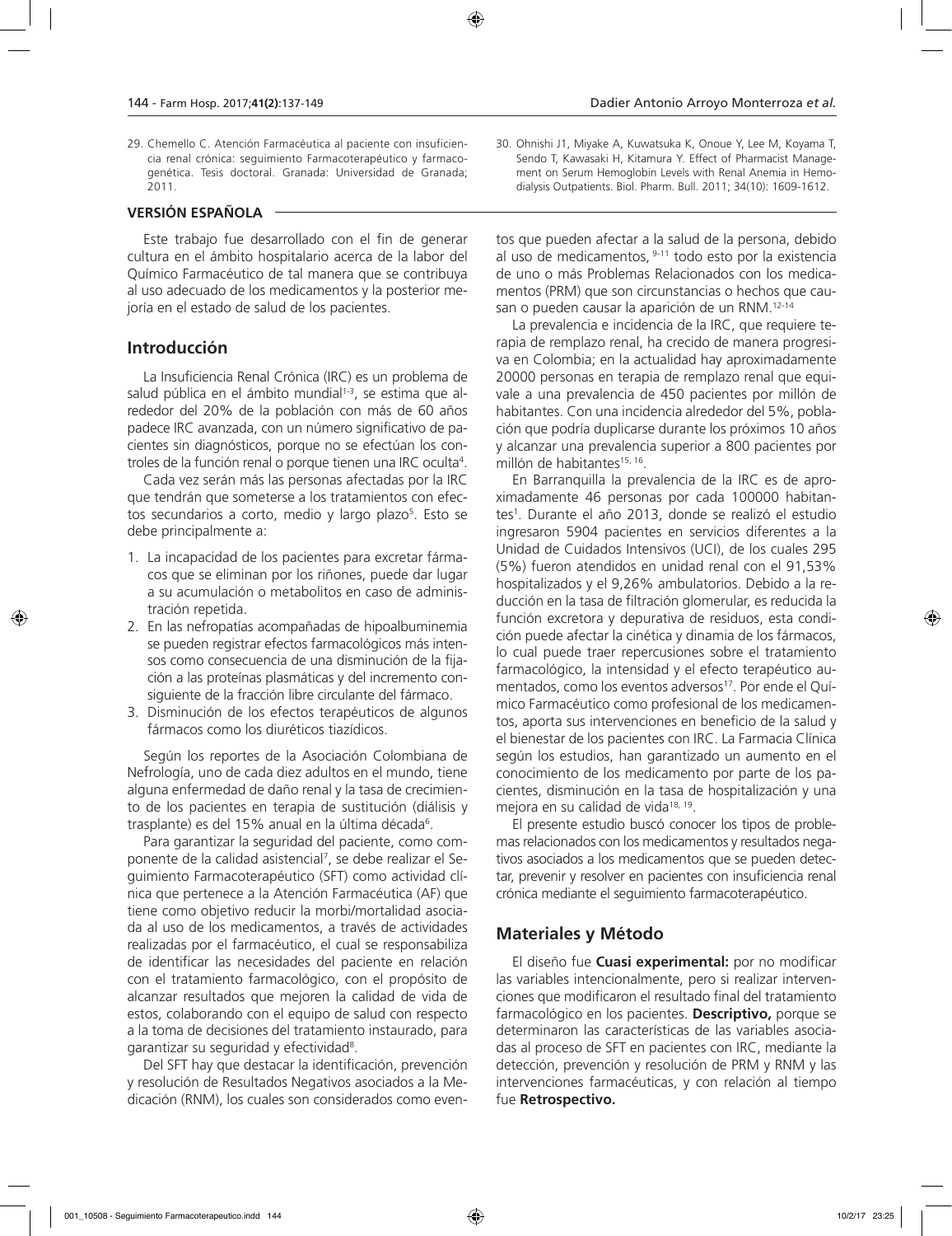29. Chemello C. Atención Farmacéutica al paciente con insuficiencia renal crónica: seguimiento Farmacoterapéutico y farmacogenética. Tesis doctoral. Granada: Universidad de Granada; 2011.

#### **VERSIÓN ESPAÑOLA**

Este trabajo fue desarrollado con el fin de generar cultura en el ámbito hospitalario acerca de la labor del Químico Farmacéutico de tal manera que se contribuya al uso adecuado de los medicamentos y la posterior mejoría en el estado de salud de los pacientes.

#### **Introducción**

La Insuficiencia Renal Crónica (IRC) es un problema de salud pública en el ámbito mundial<sup>1-3</sup>, se estima que alrededor del 20% de la población con más de 60 años padece IRC avanzada, con un número significativo de pacientes sin diagnósticos, porque no se efectúan los controles de la función renal o porque tienen una IRC oculta4 .

Cada vez serán más las personas afectadas por la IRC que tendrán que someterse a los tratamientos con efectos secundarios a corto, medio y largo plazo<sup>5</sup>. Esto se debe principalmente a:

- 1. La incapacidad de los pacientes para excretar fármacos que se eliminan por los riñones, puede dar lugar a su acumulación o metabolitos en caso de administración repetida.
- 2. En las nefropatías acompañadas de hipoalbuminemia se pueden registrar efectos farmacológicos más intensos como consecuencia de una disminución de la fijación a las proteínas plasmáticas y del incremento consiguiente de la fracción libre circulante del fármaco.
- 3. Disminución de los efectos terapéuticos de algunos fármacos como los diuréticos tiazídicos.

Según los reportes de la Asociación Colombiana de Nefrología, uno de cada diez adultos en el mundo, tiene alguna enfermedad de daño renal y la tasa de crecimiento de los pacientes en terapia de sustitución (diálisis y trasplante) es del 15% anual en la última década<sup>6</sup>.

Para garantizar la seguridad del paciente, como componente de la calidad asistencial<sup>7</sup>, se debe realizar el Seguimiento Farmacoterapéutico (SFT) como actividad clínica que pertenece a la Atención Farmacéutica (AF) que tiene como objetivo reducir la morbi/mortalidad asociada al uso de los medicamentos, a través de actividades realizadas por el farmacéutico, el cual se responsabiliza de identificar las necesidades del paciente en relación con el tratamiento farmacológico, con el propósito de alcanzar resultados que mejoren la calidad de vida de estos, colaborando con el equipo de salud con respecto a la toma de decisiones del tratamiento instaurado, para garantizar su seguridad y efectividad<sup>8</sup>.

Del SFT hay que destacar la identificación, prevención y resolución de Resultados Negativos asociados a la Medicación (RNM), los cuales son considerados como even30. Ohnishi J1, Miyake A, Kuwatsuka K, Onoue Y, Lee M, Koyama T, Sendo T, Kawasaki H, Kitamura Y. Effect of Pharmacist Management on Serum Hemoglobin Levels with Renal Anemia in Hemodialysis Outpatients. Biol. Pharm. Bull. 2011; 34(10): 1609-1612.

tos que pueden afectar a la salud de la persona, debido al uso de medicamentos, 9-11 todo esto por la existencia de uno o más Problemas Relacionados con los medicamentos (PRM) que son circunstancias o hechos que causan o pueden causar la aparición de un RNM.<sup>12-14</sup>

La prevalencia e incidencia de la IRC, que requiere terapia de remplazo renal, ha crecido de manera progresiva en Colombia; en la actualidad hay aproximadamente 20000 personas en terapia de remplazo renal que equivale a una prevalencia de 450 pacientes por millón de habitantes. Con una incidencia alrededor del 5%, población que podría duplicarse durante los próximos 10 años y alcanzar una prevalencia superior a 800 pacientes por millón de habitantes<sup>15, 16</sup>.

En Barranquilla la prevalencia de la IRC es de aproximadamente 46 personas por cada 100000 habitantes1 . Durante el año 2013, donde se realizó el estudio ingresaron 5904 pacientes en servicios diferentes a la Unidad de Cuidados Intensivos (UCI), de los cuales 295 (5%) fueron atendidos en unidad renal con el 91,53% hospitalizados y el 9,26% ambulatorios. Debido a la reducción en la tasa de filtración glomerular, es reducida la función excretora y depurativa de residuos, esta condición puede afectar la cinética y dinamia de los fármacos, lo cual puede traer repercusiones sobre el tratamiento farmacológico, la intensidad y el efecto terapéutico aumentados, como los eventos adversos<sup>17</sup>. Por ende el Químico Farmacéutico como profesional de los medicamentos, aporta sus intervenciones en beneficio de la salud y el bienestar de los pacientes con IRC. La Farmacia Clínica según los estudios, han garantizado un aumento en el conocimiento de los medicamento por parte de los pacientes, disminución en la tasa de hospitalización y una mejora en su calidad de vida<sup>18, 19</sup>.

El presente estudio buscó conocer los tipos de problemas relacionados con los medicamentos y resultados negativos asociados a los medicamentos que se pueden detectar, prevenir y resolver en pacientes con insuficiencia renal crónica mediante el seguimiento farmacoterapéutico.

#### **Materiales y Método**

El diseño fue **Cuasi experimental:** por no modificar las variables intencionalmente, pero si realizar intervenciones que modificaron el resultado final del tratamiento farmacológico en los pacientes. **Descriptivo,** porque se determinaron las características de las variables asociadas al proceso de SFT en pacientes con IRC, mediante la detección, prevención y resolución de PRM y RNM y las intervenciones farmacéuticas, y con relación al tiempo fue **Retrospectivo.**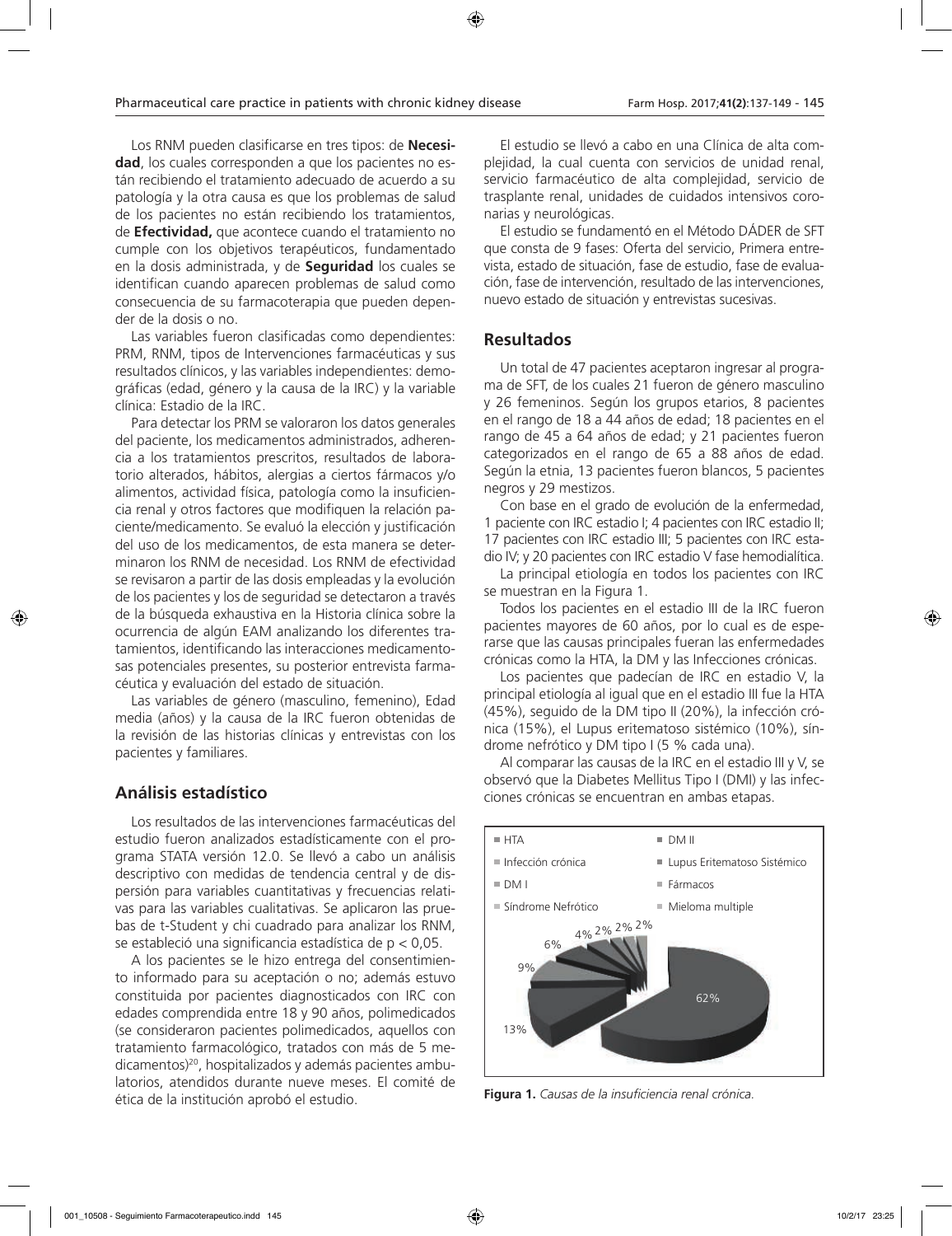Los RNM pueden clasificarse en tres tipos: de **Necesidad**, los cuales corresponden a que los pacientes no están recibiendo el tratamiento adecuado de acuerdo a su patología y la otra causa es que los problemas de salud de los pacientes no están recibiendo los tratamientos, de **Efectividad,** que acontece cuando el tratamiento no cumple con los objetivos terapéuticos, fundamentado en la dosis administrada, y de **Seguridad** los cuales se identifican cuando aparecen problemas de salud como consecuencia de su farmacoterapia que pueden depender de la dosis o no.

Las variables fueron clasificadas como dependientes: PRM, RNM, tipos de Intervenciones farmacéuticas y sus resultados clínicos, y las variables independientes: demográficas (edad, género y la causa de la IRC) y la variable clínica: Estadio de la IRC.

Para detectar los PRM se valoraron los datos generales del paciente, los medicamentos administrados, adherencia a los tratamientos prescritos, resultados de laboratorio alterados, hábitos, alergias a ciertos fármacos y/o alimentos, actividad física, patología como la insuficiencia renal y otros factores que modifiquen la relación paciente/medicamento. Se evaluó la elección y justificación del uso de los medicamentos, de esta manera se determinaron los RNM de necesidad. Los RNM de efectividad se revisaron a partir de las dosis empleadas y la evolución de los pacientes y los de seguridad se detectaron a través de la búsqueda exhaustiva en la Historia clínica sobre la ocurrencia de algún EAM analizando los diferentes tratamientos, identificando las interacciones medicamentosas potenciales presentes, su posterior entrevista farmacéutica y evaluación del estado de situación.

Las variables de género (masculino, femenino), Edad media (años) y la causa de la IRC fueron obtenidas de la revisión de las historias clínicas y entrevistas con los pacientes y familiares.

### **Análisis estadístico**

Los resultados de las intervenciones farmacéuticas del estudio fueron analizados estadísticamente con el programa STATA versión 12.0. Se llevó a cabo un análisis descriptivo con medidas de tendencia central y de dispersión para variables cuantitativas y frecuencias relativas para las variables cualitativas. Se aplicaron las pruebas de t-Student y chi cuadrado para analizar los RNM, se estableció una significancia estadística de p < 0,05.

A los pacientes se le hizo entrega del consentimiento informado para su aceptación o no; además estuvo constituida por pacientes diagnosticados con IRC con edades comprendida entre 18 y 90 años, polimedicados (se consideraron pacientes polimedicados, aquellos con tratamiento farmacológico, tratados con más de 5 medicamentos)20, hospitalizados y además pacientes ambulatorios, atendidos durante nueve meses. El comité de ética de la institución aprobó el estudio.

El estudio se llevó a cabo en una Clínica de alta complejidad, la cual cuenta con servicios de unidad renal, servicio farmacéutico de alta complejidad, servicio de trasplante renal, unidades de cuidados intensivos coronarias y neurológicas.

El estudio se fundamentó en el Método DÁDER de SFT que consta de 9 fases: Oferta del servicio, Primera entrevista, estado de situación, fase de estudio, fase de evaluación, fase de intervención, resultado de las intervenciones, nuevo estado de situación y entrevistas sucesivas.

#### **Resultados**

Un total de 47 pacientes aceptaron ingresar al programa de SFT, de los cuales 21 fueron de género masculino y 26 femeninos. Según los grupos etarios, 8 pacientes en el rango de 18 a 44 años de edad; 18 pacientes en el rango de 45 a 64 años de edad; y 21 pacientes fueron categorizados en el rango de 65 a 88 años de edad. Según la etnia, 13 pacientes fueron blancos, 5 pacientes negros y 29 mestizos.

Con base en el grado de evolución de la enfermedad, 1 paciente con IRC estadio I; 4 pacientes con IRC estadio II; 17 pacientes con IRC estadio III; 5 pacientes con IRC estadio IV; y 20 pacientes con IRC estadio V fase hemodialítica.

La principal etiología en todos los pacientes con IRC se muestran en la Figura 1.

Todos los pacientes en el estadio III de la IRC fueron pacientes mayores de 60 años, por lo cual es de esperarse que las causas principales fueran las enfermedades crónicas como la HTA, la DM y las Infecciones crónicas.

Los pacientes que padecían de IRC en estadio V, la principal etiología al igual que en el estadio III fue la HTA (45%), seguido de la DM tipo II (20%), la infección crónica (15%), el Lupus eritematoso sistémico (10%), síndrome nefrótico y DM tipo I (5 % cada una).

Al comparar las causas de la IRC en el estadio III y V, se observó que la Diabetes Mellitus Tipo I (DMI) y las infecciones crónicas se encuentran en ambas etapas.



**Figura 1.** *Causas de la insuficiencia renal crónica.*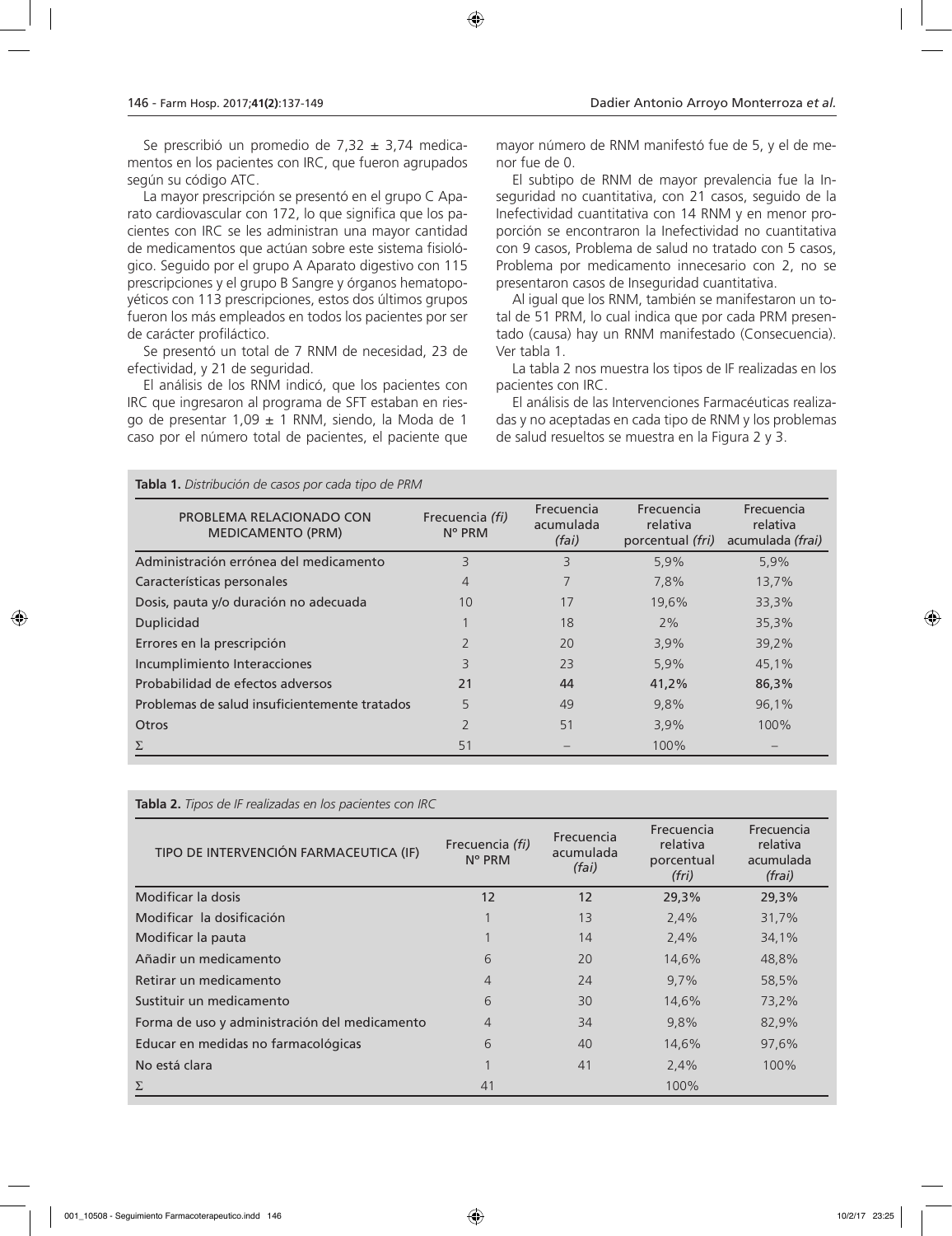Se prescribió un promedio de 7,32  $\pm$  3,74 medicamentos en los pacientes con IRC, que fueron agrupados según su código ATC.

La mayor prescripción se presentó en el grupo C Aparato cardiovascular con 172, lo que significa que los pacientes con IRC se les administran una mayor cantidad de medicamentos que actúan sobre este sistema fisiológico. Seguido por el grupo A Aparato digestivo con 115 prescripciones y el grupo B Sangre y órganos hematopoyéticos con 113 prescripciones, estos dos últimos grupos fueron los más empleados en todos los pacientes por ser de carácter profiláctico.

Se presentó un total de 7 RNM de necesidad, 23 de efectividad, y 21 de seguridad.

El análisis de los RNM indicó, que los pacientes con IRC que ingresaron al programa de SFT estaban en riesgo de presentar 1,09  $\pm$  1 RNM, siendo, la Moda de 1 caso por el número total de pacientes, el paciente que

**Tabla 1.** *Distribución de casos por cada tipo de PRM*

mayor número de RNM manifestó fue de 5, y el de menor fue de 0.

El subtipo de RNM de mayor prevalencia fue la Inseguridad no cuantitativa, con 21 casos, seguido de la Inefectividad cuantitativa con 14 RNM y en menor proporción se encontraron la Inefectividad no cuantitativa con 9 casos, Problema de salud no tratado con 5 casos, Problema por medicamento innecesario con 2, no se presentaron casos de Inseguridad cuantitativa.

Al igual que los RNM, también se manifestaron un total de 51 PRM, lo cual indica que por cada PRM presentado (causa) hay un RNM manifestado (Consecuencia). Ver tabla 1.

La tabla 2 nos muestra los tipos de IF realizadas en los pacientes con IRC.

El análisis de las Intervenciones Farmacéuticas realizadas y no aceptadas en cada tipo de RNM y los problemas de salud resueltos se muestra en la Figura 2 y 3.

| <b>14.</b> If Bisting a close the cases por cada tips as films |                                    |                                  |                                            |                                            |
|----------------------------------------------------------------|------------------------------------|----------------------------------|--------------------------------------------|--------------------------------------------|
| PROBLEMA RELACIONADO CON<br><b>MEDICAMENTO (PRM)</b>           | Frecuencia (fi)<br>$N^{\circ}$ PRM | Frecuencia<br>acumulada<br>(fai) | Frecuencia<br>relativa<br>porcentual (fri) | Frecuencia<br>relativa<br>acumulada (frai) |
| Administración errónea del medicamento                         | 3                                  | 3                                | 5,9%                                       | 5,9%                                       |
| Características personales                                     | 4                                  |                                  | 7,8%                                       | 13,7%                                      |
| Dosis, pauta y/o duración no adecuada                          | 10                                 | 17                               | 19.6%                                      | 33,3%                                      |
| Duplicidad                                                     |                                    | 18                               | 2%                                         | 35,3%                                      |
| Errores en la prescripción                                     |                                    | 20                               | 3,9%                                       | 39,2%                                      |
| Incumplimiento Interacciones                                   | 3                                  | 23                               | 5,9%                                       | 45.1%                                      |
| Probabilidad de efectos adversos                               | 21                                 | 44                               | 41.2%                                      | 86,3%                                      |
| Problemas de salud insuficientemente tratados                  | 5                                  | 49                               | 9,8%                                       | 96,1%                                      |
| <b>Otros</b>                                                   |                                    | 51                               | 3,9%                                       | 100%                                       |
|                                                                | 51                                 |                                  | 100%                                       |                                            |

| <b>Tabla 2.</b> <i>Tipos de if Tealizadas en los pacientes con i</i> nc |                                    |                                  |                                               |                                               |
|-------------------------------------------------------------------------|------------------------------------|----------------------------------|-----------------------------------------------|-----------------------------------------------|
| TIPO DE INTERVENCIÓN FARMACEUTICA (IF)                                  | Frecuencia (fi)<br>$N^{\circ}$ PRM | Frecuencia<br>acumulada<br>(fai) | Frecuencia<br>relativa<br>porcentual<br>(fri) | Frecuencia<br>relativa<br>acumulada<br>(frai) |
| Modificar la dosis                                                      | 12                                 | 12                               | 29,3%                                         | 29,3%                                         |
| Modificar la dosificación                                               |                                    | 13                               | 2,4%                                          | 31,7%                                         |
| Modificar la pauta                                                      |                                    | 14                               | 2,4%                                          | 34,1%                                         |
| Añadir un medicamento                                                   | 6                                  | 20                               | 14,6%                                         | 48,8%                                         |
| Retirar un medicamento                                                  | $\overline{4}$                     | 24                               | 9,7%                                          | 58,5%                                         |
| Sustituir un medicamento                                                | 6                                  | 30                               | 14,6%                                         | 73,2%                                         |
| Forma de uso y administración del medicamento                           | 4                                  | 34                               | 9,8%                                          | 82,9%                                         |
| Educar en medidas no farmacológicas                                     | 6                                  | 40                               | 14,6%                                         | 97,6%                                         |
| No está clara                                                           |                                    | 41                               | 2,4%                                          | 100%                                          |
| Σ                                                                       | 41                                 |                                  | 100%                                          |                                               |

**Tabla 2.** *Tipos de IF realizadas en los pacientes con IRC*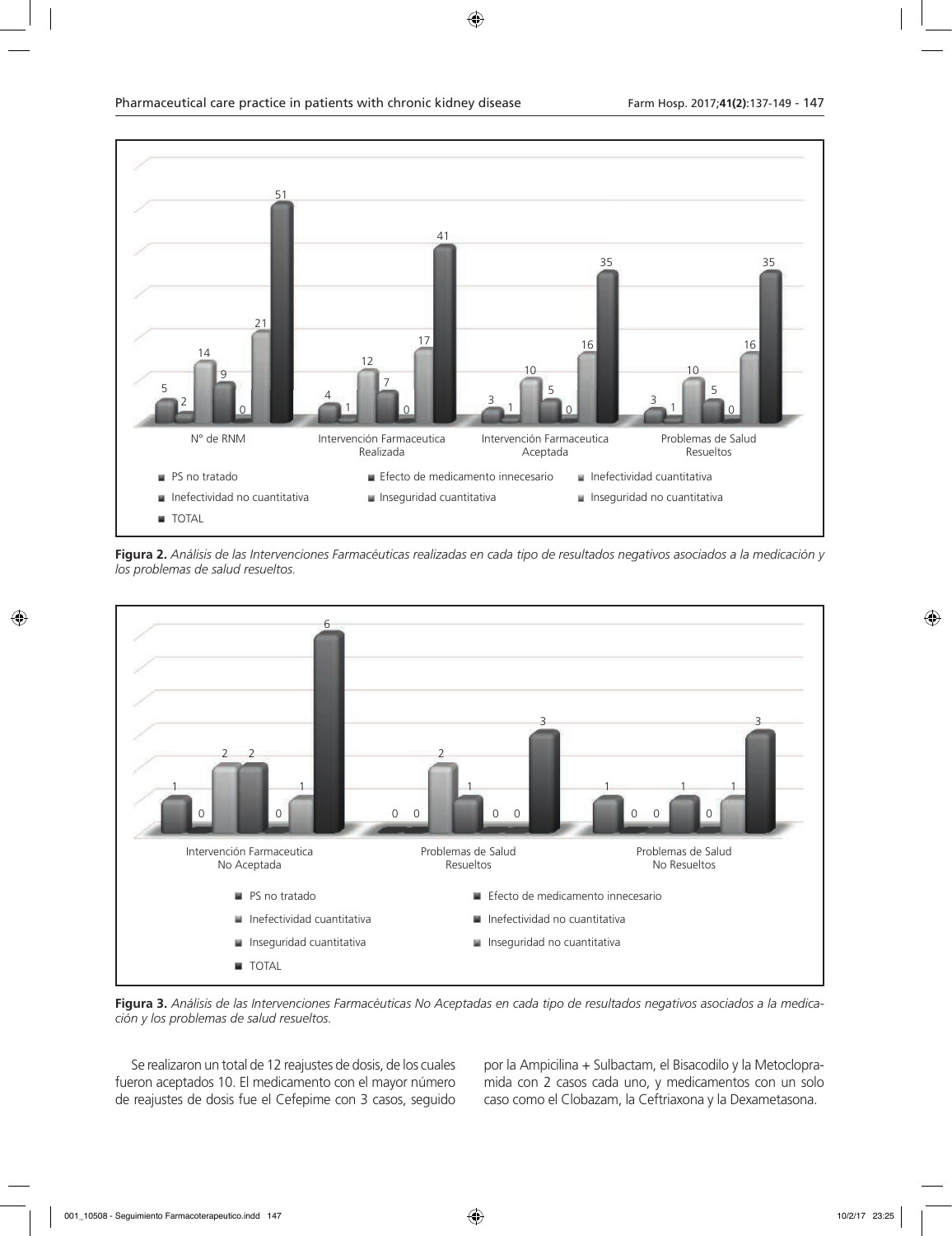

**Figura 2.** *Análisis de las Intervenciones Farmacéuticas realizadas en cada tipo de resultados negativos asociados a la medicación y los problemas de salud resueltos.*



**Figura 3.** *Análisis de las Intervenciones Farmacéuticas No Aceptadas en cada tipo de resultados negativos asociados a la medicación y los problemas de salud resueltos.*

Se realizaron un total de 12 reajustes de dosis, de los cuales fueron aceptados 10. El medicamento con el mayor número de reajustes de dosis fue el Cefepime con 3 casos, seguido

por la Ampicilina + Sulbactam, el Bisacodilo y la Metoclopramida con 2 casos cada uno, y medicamentos con un solo caso como el Clobazam, la Ceftriaxona y la Dexametasona.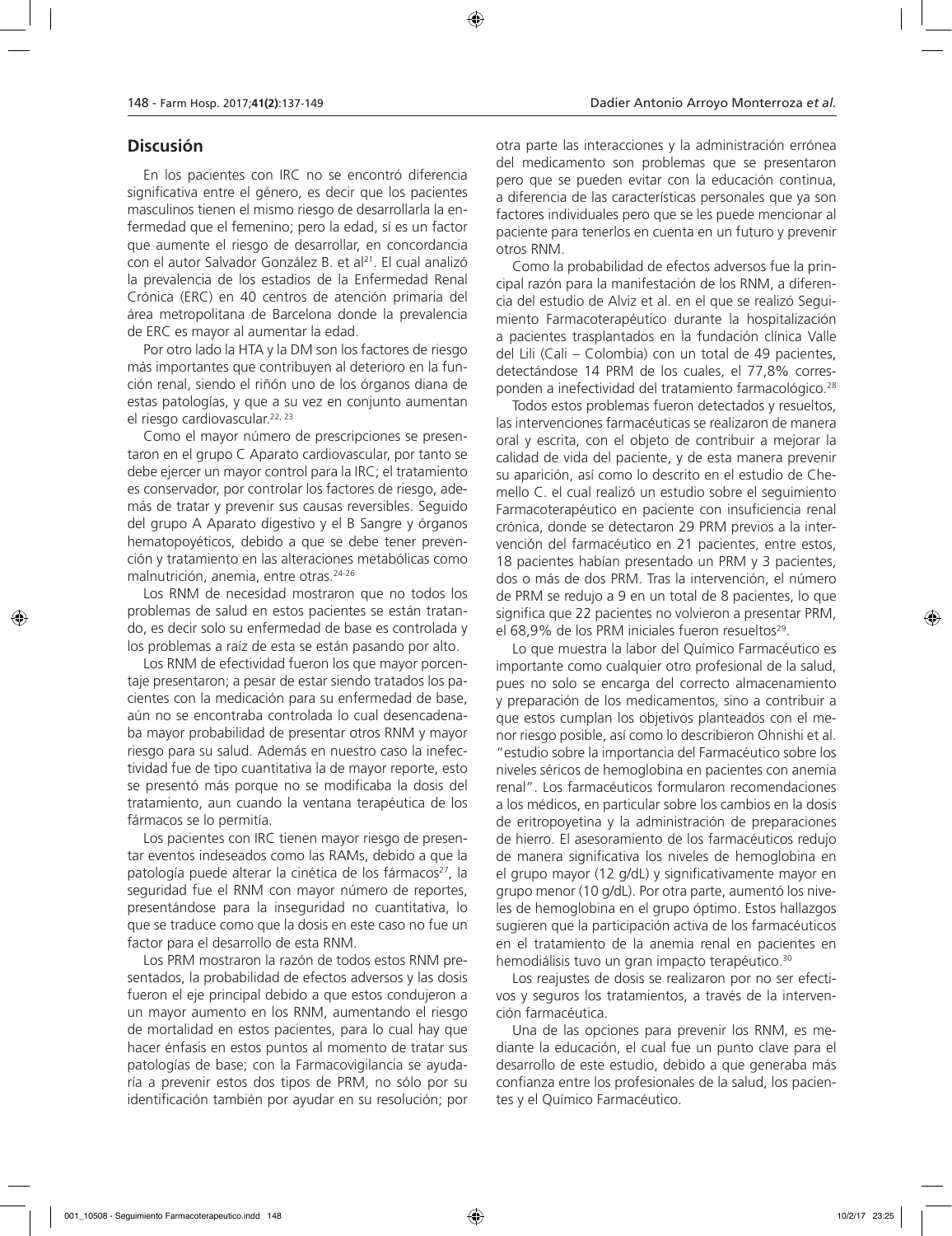#### **Discusión**

En los pacientes con IRC no se encontró diferencia significativa entre el género, es decir que los pacientes masculinos tienen el mismo riesgo de desarrollarla la enfermedad que el femenino; pero la edad, sí es un factor que aumente el riesgo de desarrollar, en concordancia con el autor Salvador González B. et al<sup>21</sup>. El cual analizó la prevalencia de los estadios de la Enfermedad Renal Crónica (ERC) en 40 centros de atención primaria del área metropolitana de Barcelona donde la prevalencia de ERC es mayor al aumentar la edad.

Por otro lado la HTA y la DM son los factores de riesgo más importantes que contribuyen al deterioro en la función renal, siendo el riñón uno de los órganos diana de estas patologías, y que a su vez en conjunto aumentan el riesgo cardiovascular.22, 23

Como el mayor número de prescripciones se presentaron en el grupo C Aparato cardiovascular, por tanto se debe ejercer un mayor control para la IRC; el tratamiento es conservador, por controlar los factores de riesgo, además de tratar y prevenir sus causas reversibles. Seguido del grupo A Aparato digestivo y el B Sangre y órganos hematopoyéticos, debido a que se debe tener prevención y tratamiento en las alteraciones metabólicas como malnutrición, anemia, entre otras.24-26

Los RNM de necesidad mostraron que no todos los problemas de salud en estos pacientes se están tratando, es decir solo su enfermedad de base es controlada y los problemas a raíz de esta se están pasando por alto.

Los RNM de efectividad fueron los que mayor porcentaje presentaron; a pesar de estar siendo tratados los pacientes con la medicación para su enfermedad de base, aún no se encontraba controlada lo cual desencadenaba mayor probabilidad de presentar otros RNM y mayor riesgo para su salud. Además en nuestro caso la inefectividad fue de tipo cuantitativa la de mayor reporte, esto se presentó más porque no se modificaba la dosis del tratamiento, aun cuando la ventana terapéutica de los fármacos se lo permitía.

Los pacientes con IRC tienen mayor riesgo de presentar eventos indeseados como las RAMs, debido a que la patología puede alterar la cinética de los fármacos<sup>27</sup>, la seguridad fue el RNM con mayor número de reportes, presentándose para la inseguridad no cuantitativa, lo que se traduce como que la dosis en este caso no fue un factor para el desarrollo de esta RNM.

Los PRM mostraron la razón de todos estos RNM presentados, la probabilidad de efectos adversos y las dosis fueron el eje principal debido a que estos condujeron a un mayor aumento en los RNM, aumentando el riesgo de mortalidad en estos pacientes, para lo cual hay que hacer énfasis en estos puntos al momento de tratar sus patologías de base; con la Farmacovigilancia se ayudaría a prevenir estos dos tipos de PRM, no sólo por su identificación también por ayudar en su resolución; por

otra parte las interacciones y la administración errónea del medicamento son problemas que se presentaron pero que se pueden evitar con la educación continua, a diferencia de las características personales que ya son factores individuales pero que se les puede mencionar al paciente para tenerlos en cuenta en un futuro y prevenir otros RNM.

Como la probabilidad de efectos adversos fue la principal razón para la manifestación de los RNM, a diferencia del estudio de Alviz et al. en el que se realizó Seguimiento Farmacoterapéutico durante la hospitalización a pacientes trasplantados en la fundación clínica Valle del Lili (Cali – Colombia) con un total de 49 pacientes, detectándose 14 PRM de los cuales, el 77,8% corresponden a inefectividad del tratamiento farmacológico.28

Todos estos problemas fueron detectados y resueltos, las intervenciones farmacéuticas se realizaron de manera oral y escrita, con el objeto de contribuir a mejorar la calidad de vida del paciente, y de esta manera prevenir su aparición, así como lo descrito en el estudio de Chemello C. el cual realizó un estudio sobre el seguimiento Farmacoterapéutico en paciente con insuficiencia renal crónica, donde se detectaron 29 PRM previos a la intervención del farmacéutico en 21 pacientes, entre estos, 18 pacientes habían presentado un PRM y 3 pacientes, dos o más de dos PRM. Tras la intervención, el número de PRM se redujo a 9 en un total de 8 pacientes, lo que significa que 22 pacientes no volvieron a presentar PRM, el 68,9% de los PRM iniciales fueron resueltos<sup>29</sup>.

Lo que muestra la labor del Químico Farmacéutico es importante como cualquier otro profesional de la salud, pues no solo se encarga del correcto almacenamiento y preparación de los medicamentos, sino a contribuir a que estos cumplan los objetivos planteados con el menor riesgo posible, así como lo describieron Ohnishi et al. "estudio sobre la importancia del Farmacéutico sobre los niveles séricos de hemoglobina en pacientes con anemia renal". Los farmacéuticos formularon recomendaciones a los médicos, en particular sobre los cambios en la dosis de eritropoyetina y la administración de preparaciones de hierro. El asesoramiento de los farmacéuticos redujo de manera significativa los niveles de hemoglobina en el grupo mayor (12 g/dL) y significativamente mayor en grupo menor (10 g/dL). Por otra parte, aumentó los niveles de hemoglobina en el grupo óptimo. Estos hallazgos sugieren que la participación activa de los farmacéuticos en el tratamiento de la anemia renal en pacientes en hemodiálisis tuvo un gran impacto terapéutico.<sup>30</sup>

Los reajustes de dosis se realizaron por no ser efectivos y seguros los tratamientos, a través de la intervención farmacéutica.

Una de las opciones para prevenir los RNM, es mediante la educación, el cual fue un punto clave para el desarrollo de este estudio, debido a que generaba más confianza entre los profesionales de la salud, los pacientes y el Químico Farmacéutico.